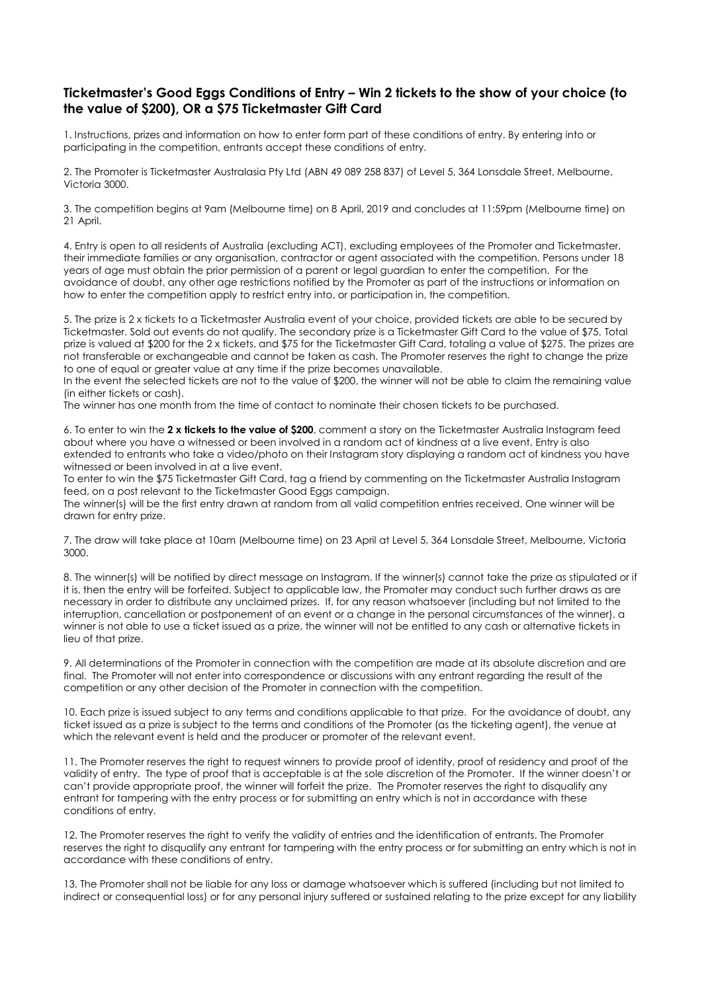## **Ticketmaster's Good Eggs Conditions of Entry – Win 2 tickets to the show of your choice (to the value of \$200), OR a \$75 Ticketmaster Gift Card**

1. Instructions, prizes and information on how to enter form part of these conditions of entry. By entering into or participating in the competition, entrants accept these conditions of entry.

2. The Promoter is Ticketmaster Australasia Pty Ltd (ABN 49 089 258 837) of Level 5, 364 Lonsdale Street, Melbourne, Victoria 3000.

3. The competition begins at 9am (Melbourne time) on 8 April, 2019 and concludes at 11:59pm (Melbourne time) on 21 April.

4. Entry is open to all residents of Australia (excluding ACT), excluding employees of the Promoter and Ticketmaster, their immediate families or any organisation, contractor or agent associated with the competition. Persons under 18 years of age must obtain the prior permission of a parent or legal guardian to enter the competition. For the avoidance of doubt, any other age restrictions notified by the Promoter as part of the instructions or information on how to enter the competition apply to restrict entry into, or participation in, the competition.

5. The prize is 2 x tickets to a Ticketmaster Australia event of your choice, provided tickets are able to be secured by Ticketmaster. Sold out events do not qualify. The secondary prize is a Ticketmaster Gift Card to the value of \$75. Total prize is valued at \$200 for the 2 x tickets, and \$75 for the Ticketmaster Gift Card, totaling a value of \$275. The prizes are not transferable or exchangeable and cannot be taken as cash. The Promoter reserves the right to change the prize to one of equal or greater value at any time if the prize becomes unavailable.

In the event the selected tickets are not to the value of \$200, the winner will not be able to claim the remaining value (in either tickets or cash).

The winner has one month from the time of contact to nominate their chosen tickets to be purchased.

6. To enter to win the **2 x tickets to the value of \$200**, comment a story on the Ticketmaster Australia Instagram feed about where you have a witnessed or been involved in a random act of kindness at a live event. Entry is also extended to entrants who take a video/photo on their Instagram story displaying a random act of kindness you have witnessed or been involved in at a live event.

To enter to win the \$75 Ticketmaster Gift Card, tag a friend by commenting on the Ticketmaster Australia Instagram feed, on a post relevant to the Ticketmaster Good Eggs campaign.

The winner(s) will be the first entry drawn at random from all valid competition entries received. One winner will be drawn for entry prize.

7. The draw will take place at 10am (Melbourne time) on 23 April at Level 5, 364 Lonsdale Street, Melbourne, Victoria 3000.

8. The winner(s) will be notified by direct message on Instagram. If the winner(s) cannot take the prize as stipulated or if it is, then the entry will be forfeited. Subject to applicable law, the Promoter may conduct such further draws as are necessary in order to distribute any unclaimed prizes. If, for any reason whatsoever (including but not limited to the interruption, cancellation or postponement of an event or a change in the personal circumstances of the winner), a winner is not able to use a ticket issued as a prize, the winner will not be entitled to any cash or alternative tickets in lieu of that prize.

9. All determinations of the Promoter in connection with the competition are made at its absolute discretion and are final. The Promoter will not enter into correspondence or discussions with any entrant regarding the result of the competition or any other decision of the Promoter in connection with the competition.

10. Each prize is issued subject to any terms and conditions applicable to that prize. For the avoidance of doubt, any ticket issued as a prize is subject to the terms and conditions of the Promoter (as the ticketing agent), the venue at which the relevant event is held and the producer or promoter of the relevant event.

11. The Promoter reserves the right to request winners to provide proof of identity, proof of residency and proof of the validity of entry. The type of proof that is acceptable is at the sole discretion of the Promoter. If the winner doesn't or can't provide appropriate proof, the winner will forfeit the prize. The Promoter reserves the right to disqualify any entrant for tampering with the entry process or for submitting an entry which is not in accordance with these conditions of entry.

12. The Promoter reserves the right to verify the validity of entries and the identification of entrants. The Promoter reserves the right to disqualify any entrant for tampering with the entry process or for submitting an entry which is not in accordance with these conditions of entry.

13. The Promoter shall not be liable for any loss or damage whatsoever which is suffered (including but not limited to indirect or consequential loss) or for any personal injury suffered or sustained relating to the prize except for any liability